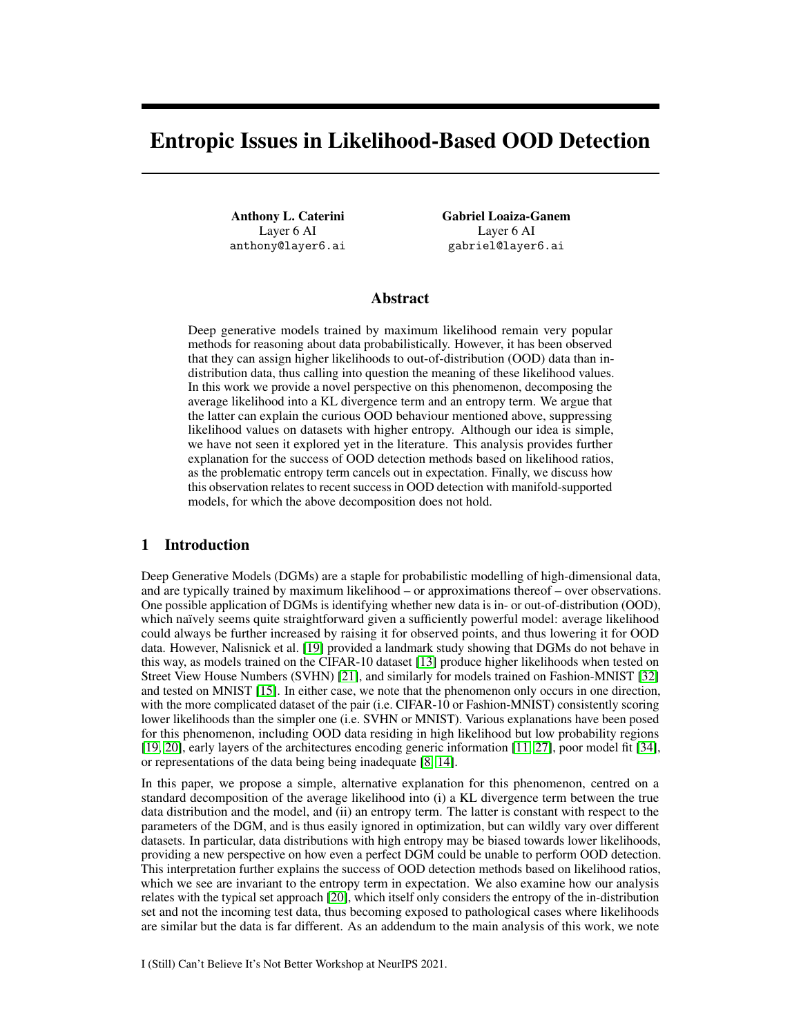# Entropic Issues in Likelihood-Based OOD Detection

Anthony L. Caterini Layer 6 AI anthony@layer6.ai Gabriel Loaiza-Ganem Layer 6 AI gabriel@layer6.ai

## Abstract

Deep generative models trained by maximum likelihood remain very popular methods for reasoning about data probabilistically. However, it has been observed that they can assign higher likelihoods to out-of-distribution (OOD) data than indistribution data, thus calling into question the meaning of these likelihood values. In this work we provide a novel perspective on this phenomenon, decomposing the average likelihood into a KL divergence term and an entropy term. We argue that the latter can explain the curious OOD behaviour mentioned above, suppressing likelihood values on datasets with higher entropy. Although our idea is simple, we have not seen it explored yet in the literature. This analysis provides further explanation for the success of OOD detection methods based on likelihood ratios, as the problematic entropy term cancels out in expectation. Finally, we discuss how this observation relates to recent success in OOD detection with manifold-supported models, for which the above decomposition does not hold.

## 1 Introduction

Deep Generative Models (DGMs) are a staple for probabilistic modelling of high-dimensional data, and are typically trained by maximum likelihood – or approximations thereof – over observations. One possible application of DGMs is identifying whether new data is in- or out-of-distribution (OOD), which naïvely seems quite straightforward given a sufficiently powerful model: average likelihood could always be further increased by raising it for observed points, and thus lowering it for OOD data. However, Nalisnick et al. [\[19\]](#page-5-0) provided a landmark study showing that DGMs do not behave in this way, as models trained on the CIFAR-10 dataset [\[13\]](#page-4-0) produce higher likelihoods when tested on Street View House Numbers (SVHN) [\[21\]](#page-5-1), and similarly for models trained on Fashion-MNIST [\[32\]](#page-5-2) and tested on MNIST [\[15\]](#page-4-1). In either case, we note that the phenomenon only occurs in one direction, with the more complicated dataset of the pair (i.e. CIFAR-10 or Fashion-MNIST) consistently scoring lower likelihoods than the simpler one (i.e. SVHN or MNIST). Various explanations have been posed for this phenomenon, including OOD data residing in high likelihood but low probability regions [\[19,](#page-5-0) [20\]](#page-5-3), early layers of the architectures encoding generic information [\[11,](#page-4-2) [27\]](#page-5-4), poor model fit [\[34\]](#page-5-5), or representations of the data being being inadequate [\[8,](#page-4-3) [14\]](#page-4-4).

In this paper, we propose a simple, alternative explanation for this phenomenon, centred on a standard decomposition of the average likelihood into (i) a KL divergence term between the true data distribution and the model, and (ii) an entropy term. The latter is constant with respect to the parameters of the DGM, and is thus easily ignored in optimization, but can wildly vary over different datasets. In particular, data distributions with high entropy may be biased towards lower likelihoods, providing a new perspective on how even a perfect DGM could be unable to perform OOD detection. This interpretation further explains the success of OOD detection methods based on likelihood ratios, which we see are invariant to the entropy term in expectation. We also examine how our analysis relates with the typical set approach [\[20\]](#page-5-3), which itself only considers the entropy of the in-distribution set and not the incoming test data, thus becoming exposed to pathological cases where likelihoods are similar but the data is far different. As an addendum to the main analysis of this work, we note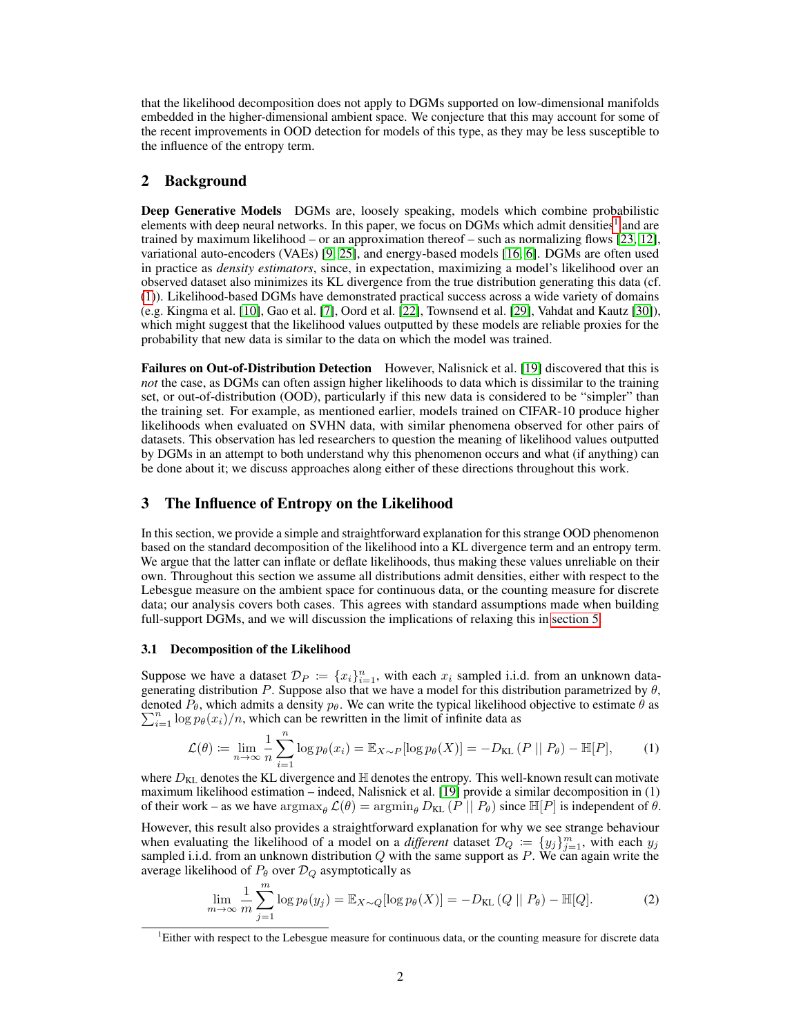that the likelihood decomposition does not apply to DGMs supported on low-dimensional manifolds embedded in the higher-dimensional ambient space. We conjecture that this may account for some of the recent improvements in OOD detection for models of this type, as they may be less susceptible to the influence of the entropy term.

## 2 Background

Deep Generative Models DGMs are, loosely speaking, models which combine probabilistic elements with deep neural networks. In this paper, we focus on DGMs which admit densities<sup>[1](#page-1-0)</sup> and are trained by maximum likelihood – or an approximation thereof – such as normalizing flows [\[23,](#page-5-6) [12\]](#page-4-5), variational auto-encoders (VAEs) [\[9,](#page-4-6) [25\]](#page-5-7), and energy-based models [\[16,](#page-4-7) [6\]](#page-4-8). DGMs are often used in practice as *density estimators*, since, in expectation, maximizing a model's likelihood over an observed dataset also minimizes its KL divergence from the true distribution generating this data (cf. [\(1\)](#page-1-1)). Likelihood-based DGMs have demonstrated practical success across a wide variety of domains (e.g. Kingma et al. [\[10\]](#page-4-9), Gao et al. [\[7\]](#page-4-10), Oord et al. [\[22\]](#page-5-8), Townsend et al. [\[29\]](#page-5-9), Vahdat and Kautz [\[30\]](#page-5-10)), which might suggest that the likelihood values outputted by these models are reliable proxies for the probability that new data is similar to the data on which the model was trained.

Failures on Out-of-Distribution Detection However, Nalisnick et al. [\[19\]](#page-5-0) discovered that this is *not* the case, as DGMs can often assign higher likelihoods to data which is dissimilar to the training set, or out-of-distribution (OOD), particularly if this new data is considered to be "simpler" than the training set. For example, as mentioned earlier, models trained on CIFAR-10 produce higher likelihoods when evaluated on SVHN data, with similar phenomena observed for other pairs of datasets. This observation has led researchers to question the meaning of likelihood values outputted by DGMs in an attempt to both understand why this phenomenon occurs and what (if anything) can be done about it; we discuss approaches along either of these directions throughout this work.

## 3 The Influence of Entropy on the Likelihood

In this section, we provide a simple and straightforward explanation for this strange OOD phenomenon based on the standard decomposition of the likelihood into a KL divergence term and an entropy term. We argue that the latter can inflate or deflate likelihoods, thus making these values unreliable on their own. Throughout this section we assume all distributions admit densities, either with respect to the Lebesgue measure on the ambient space for continuous data, or the counting measure for discrete data; our analysis covers both cases. This agrees with standard assumptions made when building full-support DGMs, and we will discussion the implications of relaxing this in [section 5.](#page-3-0)

#### <span id="page-1-3"></span>3.1 Decomposition of the Likelihood

Suppose we have a dataset  $\mathcal{D}_P := \{x_i\}_{i=1}^n$ , with each  $x_i$  sampled i.i.d. from an unknown datagenerating distribution P. Suppose also that we have a model for this distribution parametrized by  $\theta$ , denoted  $P_{\theta}$ , which admits a density  $p_{\theta}$ . We can write the typical likelihood objective to estimate  $\theta$  as  $\sum_{i=1}^{n} \log p_{\theta}(x_i)/n$ , which can be rewritten in the limit of infinite data as

<span id="page-1-1"></span>
$$
\mathcal{L}(\theta) \coloneqq \lim_{n \to \infty} \frac{1}{n} \sum_{i=1}^{n} \log p_{\theta}(x_i) = \mathbb{E}_{X \sim P}[\log p_{\theta}(X)] = -D_{\text{KL}}\left(P \mid P_{\theta}\right) - \mathbb{H}[P],\tag{1}
$$

where  $D_{KL}$  denotes the KL divergence and  $\mathbb{H}$  denotes the entropy. This well-known result can motivate maximum likelihood estimation – indeed, Nalisnick et al. [\[19\]](#page-5-0) provide a similar decomposition in (1) of their work – as we have  $\arg \max_{\theta} \mathcal{L}(\theta) = \arg \min_{\theta} D_{KL}(P || P_{\theta})$  since  $\mathbb{H}[P]$  is independent of  $\theta$ .

However, this result also provides a straightforward explanation for why we see strange behaviour when evaluating the likelihood of a model on a *different* dataset  $\mathcal{D}_Q := \{y_j\}_{j=1}^m$ , with each  $y_j$ sampled i.i.d. from an unknown distribution  $Q$  with the same support as  $P$ . We can again write the average likelihood of  $P_{\theta}$  over  $\mathcal{D}_Q$  asymptotically as

<span id="page-1-2"></span>
$$
\lim_{m \to \infty} \frac{1}{m} \sum_{j=1}^{m} \log p_{\theta}(y_j) = \mathbb{E}_{X \sim Q} [\log p_{\theta}(X)] = -D_{\text{KL}}(Q \mid P_{\theta}) - \mathbb{H}[Q]. \tag{2}
$$

<span id="page-1-0"></span><sup>&</sup>lt;sup>1</sup>Either with respect to the Lebesgue measure for continuous data, or the counting measure for discrete data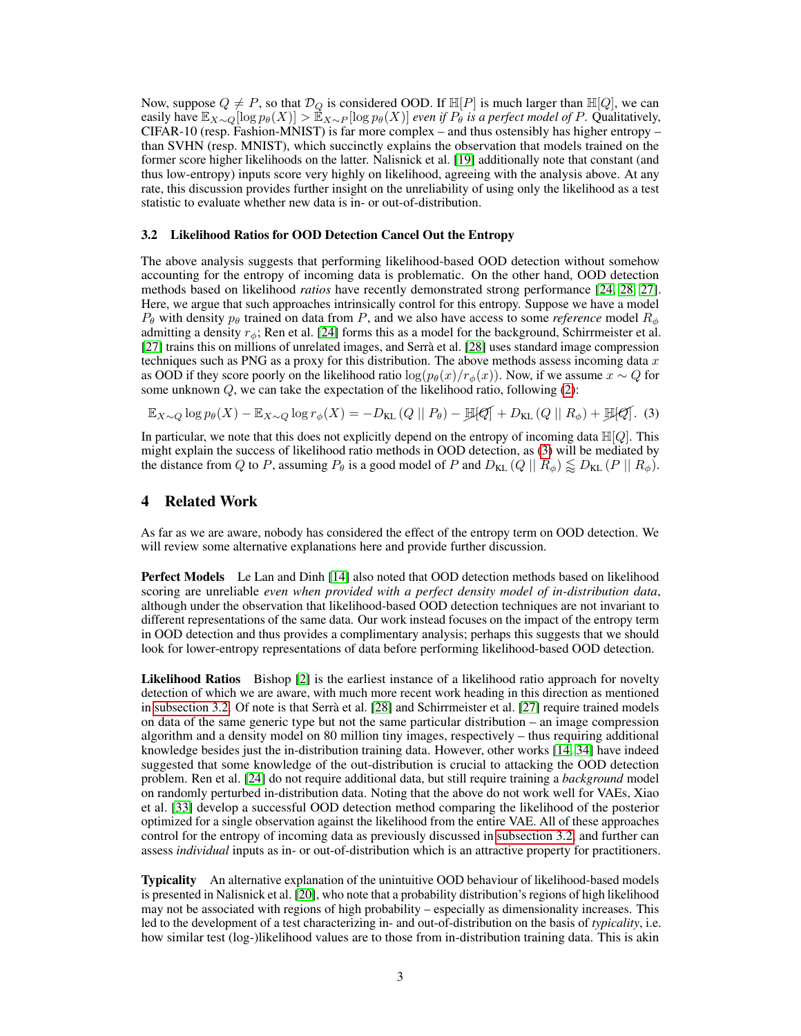Now, suppose  $Q \neq P$ , so that  $\mathcal{D}_Q$  is considered OOD. If  $\mathbb{H}[P]$  is much larger than  $\mathbb{H}[Q]$ , we can easily have  $\mathbb{E}_{X\sim Q}[\log p_{\theta}(X)] > \mathbb{E}_{X\sim P}[\log p_{\theta}(X)]$  *even if*  $P_{\theta}$  *is a perfect model of* P. Qualitatively, CIFAR-10 (resp. Fashion-MNIST) is far more complex – and thus ostensibly has higher entropy – than SVHN (resp. MNIST), which succinctly explains the observation that models trained on the former score higher likelihoods on the latter. Nalisnick et al. [\[19\]](#page-5-0) additionally note that constant (and thus low-entropy) inputs score very highly on likelihood, agreeing with the analysis above. At any rate, this discussion provides further insight on the unreliability of using only the likelihood as a test statistic to evaluate whether new data is in- or out-of-distribution.

#### <span id="page-2-1"></span>3.2 Likelihood Ratios for OOD Detection Cancel Out the Entropy

The above analysis suggests that performing likelihood-based OOD detection without somehow accounting for the entropy of incoming data is problematic. On the other hand, OOD detection methods based on likelihood *ratios* have recently demonstrated strong performance [\[24,](#page-5-11) [28,](#page-5-12) [27\]](#page-5-4). Here, we argue that such approaches intrinsically control for this entropy. Suppose we have a model  $P_{\theta}$  with density  $p_{\theta}$  trained on data from P, and we also have access to some *reference* model  $R_{\phi}$ admitting a density  $r_{\phi}$ ; Ren et al. [\[24\]](#page-5-11) forms this as a model for the background, Schirrmeister et al. [\[27\]](#page-5-4) trains this on millions of unrelated images, and Serrà et al. [\[28\]](#page-5-12) uses standard image compression techniques such as PNG as a proxy for this distribution. The above methods assess incoming data  $x$ as OOD if they score poorly on the likelihood ratio  $\log(p_\theta(x)/r_\phi(x))$ . Now, if we assume  $x \sim Q$  for some unknown  $Q$ , we can take the expectation of the likelihood ratio, following  $(2)$ :

<span id="page-2-0"></span>
$$
\mathbb{E}_{X \sim Q} \log p_{\theta}(X) - \mathbb{E}_{X \sim Q} \log r_{\phi}(X) = -D_{\text{KL}}(Q \parallel P_{\theta}) - \mathbb{E}[Q] + D_{\text{KL}}(Q \parallel R_{\phi}) + \mathbb{E}[Q].
$$
 (3)

In particular, we note that this does not explicitly depend on the entropy of incoming data  $\mathbb{H}[Q]$ . This might explain the success of likelihood ratio methods in OOD detection, as [\(3\)](#page-2-0) will be mediated by the distance from Q to P, assuming  $P_{\theta}$  is a good model of P and  $D_{KL}(Q \mid \mid R_{\phi}) \lesssim D_{KL}(P \mid \mid R_{\phi})$ .

## 4 Related Work

As far as we are aware, nobody has considered the effect of the entropy term on OOD detection. We will review some alternative explanations here and provide further discussion.

Perfect Models Le Lan and Dinh [\[14\]](#page-4-4) also noted that OOD detection methods based on likelihood scoring are unreliable *even when provided with a perfect density model of in-distribution data*, although under the observation that likelihood-based OOD detection techniques are not invariant to different representations of the same data. Our work instead focuses on the impact of the entropy term in OOD detection and thus provides a complimentary analysis; perhaps this suggests that we should look for lower-entropy representations of data before performing likelihood-based OOD detection.

Likelihood Ratios Bishop [\[2\]](#page-4-11) is the earliest instance of a likelihood ratio approach for novelty detection of which we are aware, with much more recent work heading in this direction as mentioned in [subsection 3.2.](#page-2-1) Of note is that Serrà et al. [\[28\]](#page-5-12) and Schirrmeister et al. [\[27\]](#page-5-4) require trained models on data of the same generic type but not the same particular distribution – an image compression algorithm and a density model on 80 million tiny images, respectively – thus requiring additional knowledge besides just the in-distribution training data. However, other works [\[14,](#page-4-4) [34\]](#page-5-5) have indeed suggested that some knowledge of the out-distribution is crucial to attacking the OOD detection problem. Ren et al. [\[24\]](#page-5-11) do not require additional data, but still require training a *background* model on randomly perturbed in-distribution data. Noting that the above do not work well for VAEs, Xiao et al. [\[33\]](#page-5-13) develop a successful OOD detection method comparing the likelihood of the posterior optimized for a single observation against the likelihood from the entire VAE. All of these approaches control for the entropy of incoming data as previously discussed in [subsection 3.2,](#page-2-1) and further can assess *individual* inputs as in- or out-of-distribution which is an attractive property for practitioners.

Typicality An alternative explanation of the unintuitive OOD behaviour of likelihood-based models is presented in Nalisnick et al. [\[20\]](#page-5-3), who note that a probability distribution's regions of high likelihood may not be associated with regions of high probability – especially as dimensionality increases. This led to the development of a test characterizing in- and out-of-distribution on the basis of *typicality*, i.e. how similar test (log-)likelihood values are to those from in-distribution training data. This is akin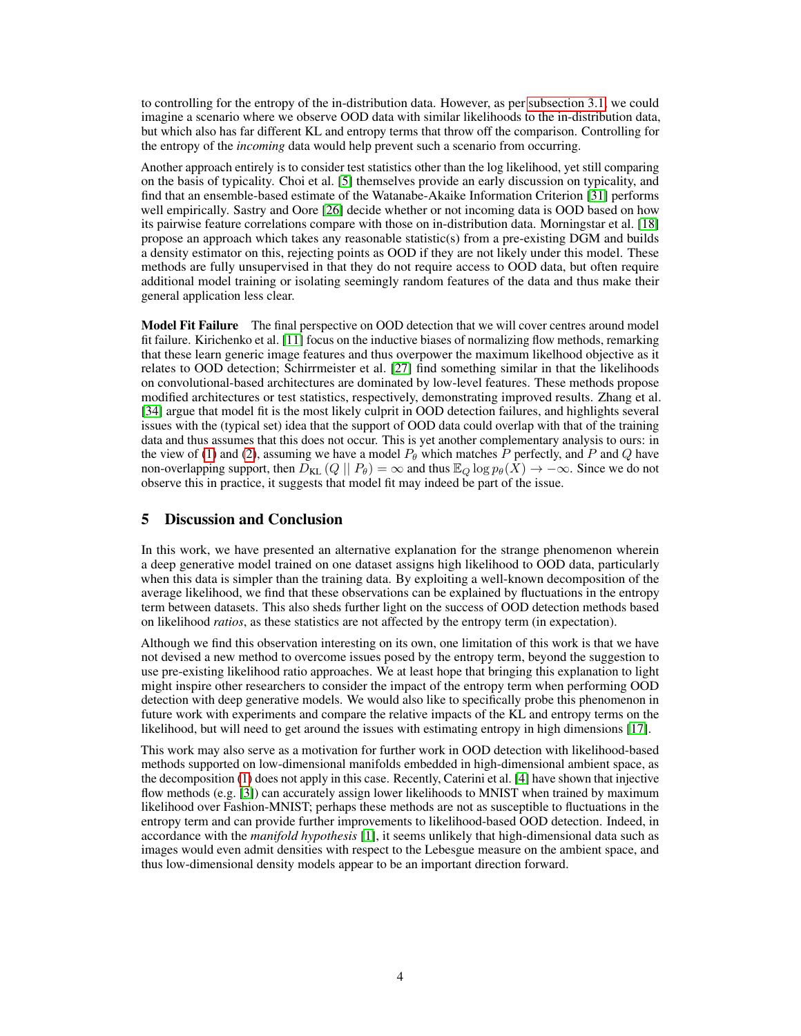to controlling for the entropy of the in-distribution data. However, as per [subsection 3.1,](#page-1-3) we could imagine a scenario where we observe OOD data with similar likelihoods to the in-distribution data, but which also has far different KL and entropy terms that throw off the comparison. Controlling for the entropy of the *incoming* data would help prevent such a scenario from occurring.

Another approach entirely is to consider test statistics other than the log likelihood, yet still comparing on the basis of typicality. Choi et al. [\[5\]](#page-4-12) themselves provide an early discussion on typicality, and find that an ensemble-based estimate of the Watanabe-Akaike Information Criterion [\[31\]](#page-5-14) performs well empirically. Sastry and Oore [\[26\]](#page-5-15) decide whether or not incoming data is OOD based on how its pairwise feature correlations compare with those on in-distribution data. Morningstar et al. [\[18\]](#page-5-16) propose an approach which takes any reasonable statistic(s) from a pre-existing DGM and builds a density estimator on this, rejecting points as OOD if they are not likely under this model. These methods are fully unsupervised in that they do not require access to OOD data, but often require additional model training or isolating seemingly random features of the data and thus make their general application less clear.

**Model Fit Failure** The final perspective on OOD detection that we will cover centres around model fit failure. Kirichenko et al. [\[11\]](#page-4-2) focus on the inductive biases of normalizing flow methods, remarking that these learn generic image features and thus overpower the maximum likelhood objective as it relates to OOD detection; Schirrmeister et al. [\[27\]](#page-5-4) find something similar in that the likelihoods on convolutional-based architectures are dominated by low-level features. These methods propose modified architectures or test statistics, respectively, demonstrating improved results. Zhang et al. [\[34\]](#page-5-5) argue that model fit is the most likely culprit in OOD detection failures, and highlights several issues with the (typical set) idea that the support of OOD data could overlap with that of the training data and thus assumes that this does not occur. This is yet another complementary analysis to ours: in the view of [\(1\)](#page-1-1) and [\(2\)](#page-1-2), assuming we have a model  $P_{\theta}$  which matches P perfectly, and P and Q have non-overlapping support, then  $D_{KL}(Q || P_{\theta}) = \infty$  and thus  $\mathbb{E}_{Q} \log p_{\theta}(X) \to -\infty$ . Since we do not observe this in practice, it suggests that model fit may indeed be part of the issue.

## <span id="page-3-0"></span>5 Discussion and Conclusion

In this work, we have presented an alternative explanation for the strange phenomenon wherein a deep generative model trained on one dataset assigns high likelihood to OOD data, particularly when this data is simpler than the training data. By exploiting a well-known decomposition of the average likelihood, we find that these observations can be explained by fluctuations in the entropy term between datasets. This also sheds further light on the success of OOD detection methods based on likelihood *ratios*, as these statistics are not affected by the entropy term (in expectation).

Although we find this observation interesting on its own, one limitation of this work is that we have not devised a new method to overcome issues posed by the entropy term, beyond the suggestion to use pre-existing likelihood ratio approaches. We at least hope that bringing this explanation to light might inspire other researchers to consider the impact of the entropy term when performing OOD detection with deep generative models. We would also like to specifically probe this phenomenon in future work with experiments and compare the relative impacts of the KL and entropy terms on the likelihood, but will need to get around the issues with estimating entropy in high dimensions [\[17\]](#page-4-13).

This work may also serve as a motivation for further work in OOD detection with likelihood-based methods supported on low-dimensional manifolds embedded in high-dimensional ambient space, as the decomposition [\(1\)](#page-1-1) does not apply in this case. Recently, Caterini et al. [\[4\]](#page-4-14) have shown that injective flow methods (e.g. [\[3\]](#page-4-15)) can accurately assign lower likelihoods to MNIST when trained by maximum likelihood over Fashion-MNIST; perhaps these methods are not as susceptible to fluctuations in the entropy term and can provide further improvements to likelihood-based OOD detection. Indeed, in accordance with the *manifold hypothesis* [\[1\]](#page-4-16), it seems unlikely that high-dimensional data such as images would even admit densities with respect to the Lebesgue measure on the ambient space, and thus low-dimensional density models appear to be an important direction forward.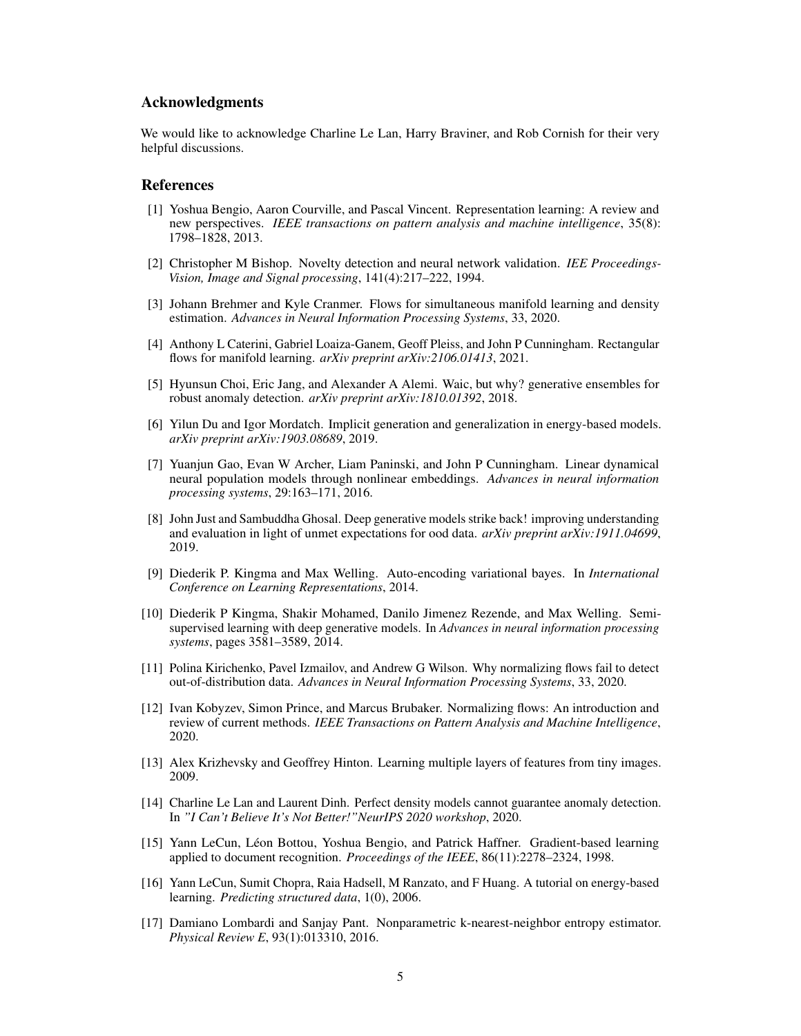## Acknowledgments

We would like to acknowledge Charline Le Lan, Harry Braviner, and Rob Cornish for their very helpful discussions.

### References

- <span id="page-4-16"></span>[1] Yoshua Bengio, Aaron Courville, and Pascal Vincent. Representation learning: A review and new perspectives. *IEEE transactions on pattern analysis and machine intelligence*, 35(8): 1798–1828, 2013.
- <span id="page-4-11"></span>[2] Christopher M Bishop. Novelty detection and neural network validation. *IEE Proceedings-Vision, Image and Signal processing*, 141(4):217–222, 1994.
- <span id="page-4-15"></span>[3] Johann Brehmer and Kyle Cranmer. Flows for simultaneous manifold learning and density estimation. *Advances in Neural Information Processing Systems*, 33, 2020.
- <span id="page-4-14"></span>[4] Anthony L Caterini, Gabriel Loaiza-Ganem, Geoff Pleiss, and John P Cunningham. Rectangular flows for manifold learning. *arXiv preprint arXiv:2106.01413*, 2021.
- <span id="page-4-12"></span>[5] Hyunsun Choi, Eric Jang, and Alexander A Alemi. Waic, but why? generative ensembles for robust anomaly detection. *arXiv preprint arXiv:1810.01392*, 2018.
- <span id="page-4-8"></span>[6] Yilun Du and Igor Mordatch. Implicit generation and generalization in energy-based models. *arXiv preprint arXiv:1903.08689*, 2019.
- <span id="page-4-10"></span>[7] Yuanjun Gao, Evan W Archer, Liam Paninski, and John P Cunningham. Linear dynamical neural population models through nonlinear embeddings. *Advances in neural information processing systems*, 29:163–171, 2016.
- <span id="page-4-3"></span>[8] John Just and Sambuddha Ghosal. Deep generative models strike back! improving understanding and evaluation in light of unmet expectations for ood data. *arXiv preprint arXiv:1911.04699*, 2019.
- <span id="page-4-6"></span>[9] Diederik P. Kingma and Max Welling. Auto-encoding variational bayes. In *International Conference on Learning Representations*, 2014.
- <span id="page-4-9"></span>[10] Diederik P Kingma, Shakir Mohamed, Danilo Jimenez Rezende, and Max Welling. Semisupervised learning with deep generative models. In *Advances in neural information processing systems*, pages 3581–3589, 2014.
- <span id="page-4-2"></span>[11] Polina Kirichenko, Pavel Izmailov, and Andrew G Wilson. Why normalizing flows fail to detect out-of-distribution data. *Advances in Neural Information Processing Systems*, 33, 2020.
- <span id="page-4-5"></span>[12] Ivan Kobyzev, Simon Prince, and Marcus Brubaker. Normalizing flows: An introduction and review of current methods. *IEEE Transactions on Pattern Analysis and Machine Intelligence*, 2020.
- <span id="page-4-0"></span>[13] Alex Krizhevsky and Geoffrey Hinton. Learning multiple layers of features from tiny images. 2009.
- <span id="page-4-4"></span>[14] Charline Le Lan and Laurent Dinh. Perfect density models cannot guarantee anomaly detection. In *"I Can't Believe It's Not Better!"NeurIPS 2020 workshop*, 2020.
- <span id="page-4-1"></span>[15] Yann LeCun, Léon Bottou, Yoshua Bengio, and Patrick Haffner. Gradient-based learning applied to document recognition. *Proceedings of the IEEE*, 86(11):2278–2324, 1998.
- <span id="page-4-7"></span>[16] Yann LeCun, Sumit Chopra, Raia Hadsell, M Ranzato, and F Huang. A tutorial on energy-based learning. *Predicting structured data*, 1(0), 2006.
- <span id="page-4-13"></span>[17] Damiano Lombardi and Sanjay Pant. Nonparametric k-nearest-neighbor entropy estimator. *Physical Review E*, 93(1):013310, 2016.